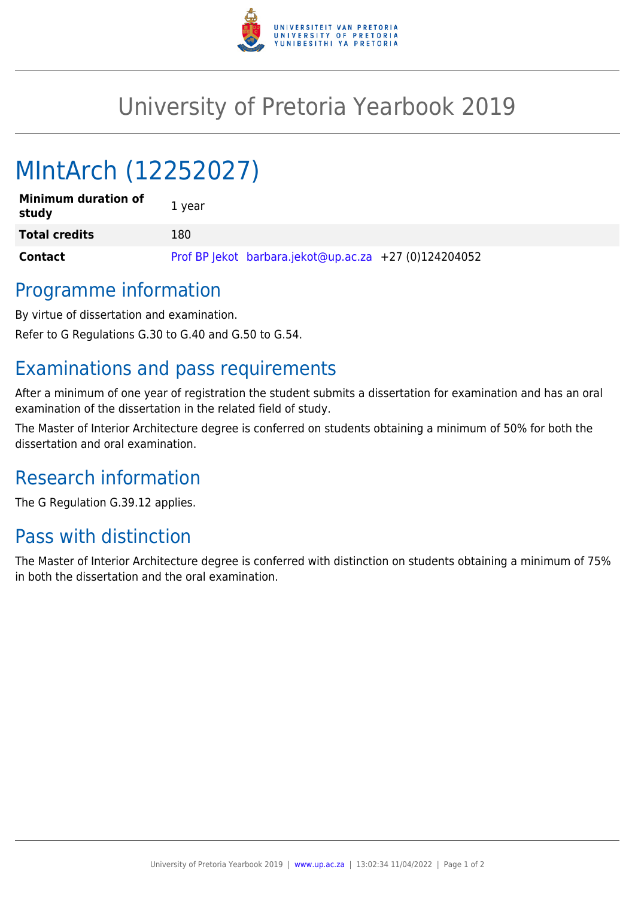

## University of Pretoria Yearbook 2019

# MIntArch (12252027)

| <b>Minimum duration of</b><br>study | 1 year                                                |
|-------------------------------------|-------------------------------------------------------|
| <b>Total credits</b>                | 180                                                   |
| <b>Contact</b>                      | Prof BP lekot barbara.jekot@up.ac.za +27 (0)124204052 |

#### Programme information

By virtue of dissertation and examination.

Refer to G Regulations G.30 to G.40 and G.50 to G.54.

#### Examinations and pass requirements

After a minimum of one year of registration the student submits a dissertation for examination and has an oral examination of the dissertation in the related field of study.

The Master of Interior Architecture degree is conferred on students obtaining a minimum of 50% for both the dissertation and oral examination.

#### Research information

The G Regulation G.39.12 applies.

### Pass with distinction

The Master of Interior Architecture degree is conferred with distinction on students obtaining a minimum of 75% in both the dissertation and the oral examination.